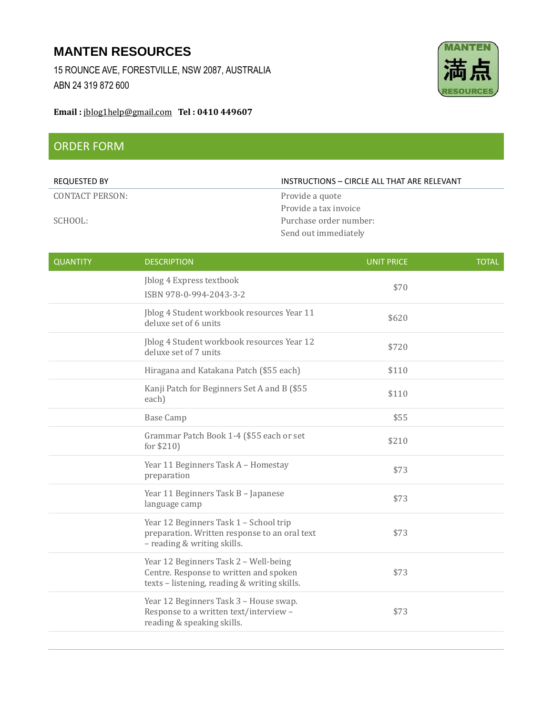## **MANTEN RESOURCES**

15 ROUNCE AVE, FORESTVILLE, NSW 2087, AUSTRALIA ABN 24 319 872 600



## **Email :** [jblog1help@gmail.com](mailto:jblog1help@gmail.com) **Tel : 0410 449607**

## ORDER FORM

| <b>REQUESTED BY</b> | INSTRUCTIONS - CIRCLE ALL THAT ARE RELEVANT |
|---------------------|---------------------------------------------|
| CONTACT PERSON:     | Provide a quote                             |
|                     | Provide a tax invoice                       |
| SCHOOL:             | Purchase order number:                      |
|                     | Send out immediately                        |

| <b>QUANTITY</b> | <b>DESCRIPTION</b>                                                                                                              | <b>UNIT PRICE</b> | <b>TOTAL</b> |
|-----------------|---------------------------------------------------------------------------------------------------------------------------------|-------------------|--------------|
|                 | Jblog 4 Express textbook<br>ISBN 978-0-994-2043-3-2                                                                             | \$70              |              |
|                 | Jblog 4 Student workbook resources Year 11<br>deluxe set of 6 units                                                             | \$620             |              |
|                 | Jblog 4 Student workbook resources Year 12<br>deluxe set of 7 units                                                             | \$720             |              |
|                 | Hiragana and Katakana Patch (\$55 each)                                                                                         | \$110             |              |
|                 | Kanji Patch for Beginners Set A and B (\$55<br>each)                                                                            | \$110             |              |
|                 | <b>Base Camp</b>                                                                                                                | \$55              |              |
|                 | Grammar Patch Book 1-4 (\$55 each or set<br>for \$210)                                                                          | \$210             |              |
|                 | Year 11 Beginners Task A - Homestay<br>preparation                                                                              | \$73              |              |
|                 | Year 11 Beginners Task B - Japanese<br>language camp                                                                            | \$73              |              |
|                 | Year 12 Beginners Task 1 - School trip<br>preparation. Written response to an oral text<br>- reading & writing skills.          | \$73              |              |
|                 | Year 12 Beginners Task 2 - Well-being<br>Centre. Response to written and spoken<br>texts - listening, reading & writing skills. | \$73              |              |
|                 | Year 12 Beginners Task 3 - House swap.<br>Response to a written text/interview -<br>reading & speaking skills.                  | \$73              |              |
|                 |                                                                                                                                 |                   |              |